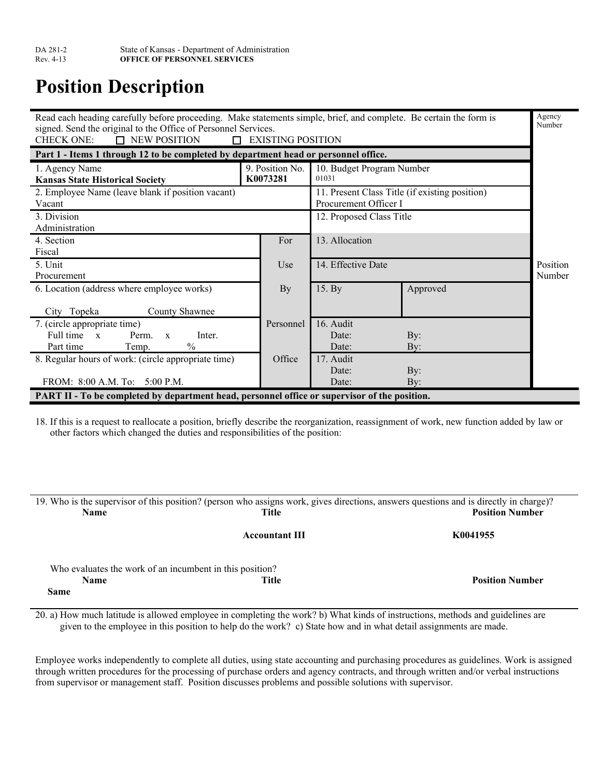## **Position Description**

| Read each heading carefully before proceeding. Make statements simple, brief, and complete. Be certain the form is |                          |                           |                                                | Agency<br>Number |
|--------------------------------------------------------------------------------------------------------------------|--------------------------|---------------------------|------------------------------------------------|------------------|
| signed. Send the original to the Office of Personnel Services.<br><b>CHECK ONE:</b><br>$\Box$ NEW POSITION         | $\Box$ EXISTING POSITION |                           |                                                |                  |
| Part 1 - Items 1 through 12 to be completed by department head or personnel office.                                |                          |                           |                                                |                  |
| 1. Agency Name                                                                                                     | 9. Position No.          | 10. Budget Program Number |                                                |                  |
| <b>Kansas State Historical Society</b>                                                                             | K0073281                 | 01031                     |                                                |                  |
| 2. Employee Name (leave blank if position vacant)                                                                  |                          |                           | 11. Present Class Title (if existing position) |                  |
| Vacant                                                                                                             |                          | Procurement Officer I     |                                                |                  |
| 3. Division                                                                                                        |                          | 12. Proposed Class Title  |                                                |                  |
| Administration                                                                                                     |                          |                           |                                                |                  |
| 4. Section                                                                                                         | For                      | 13. Allocation            |                                                |                  |
| Fiscal                                                                                                             |                          |                           |                                                |                  |
| 5. Unit                                                                                                            | Use                      | 14. Effective Date        |                                                | Position         |
| Procurement                                                                                                        |                          |                           |                                                | Number           |
| 6. Location (address where employee works)                                                                         | By                       | 15. By                    | Approved                                       |                  |
|                                                                                                                    |                          |                           |                                                |                  |
| City Topeka<br>County Shawnee                                                                                      |                          |                           |                                                |                  |
| 7. (circle appropriate time)                                                                                       | Personnel                | 16. Audit                 |                                                |                  |
| Full time x<br>Perm.<br>Inter.<br>$\mathbf{x}$                                                                     |                          | Date:                     | By:                                            |                  |
| $\frac{0}{0}$<br>Part time<br>Temp.                                                                                |                          | Date:                     | By:                                            |                  |
| 8. Regular hours of work: (circle appropriate time)                                                                | Office                   | 17. Audit                 |                                                |                  |
|                                                                                                                    |                          | Date:                     | By:                                            |                  |
| FROM: 8:00 A.M. To: 5:00 P.M.                                                                                      |                          | Date:                     | By:                                            |                  |
| PART II - To be completed by department head, personnel office or supervisor of the position.                      |                          |                           |                                                |                  |

18. If this is a request to reallocate a position, briefly describe the reorganization, reassignment of work, new function added by law or other factors which changed the duties and responsibilities of the position:

|                                                          | 19. Who is the supervisor of this position? (person who assigns work, gives directions, answers questions and is directly in charge)? |                        |
|----------------------------------------------------------|---------------------------------------------------------------------------------------------------------------------------------------|------------------------|
| <b>Name</b>                                              | Title                                                                                                                                 | <b>Position Number</b> |
|                                                          | <b>Accountant III</b>                                                                                                                 | K0041955               |
| Who evaluates the work of an incumbent in this position? |                                                                                                                                       |                        |
| Name                                                     | Title                                                                                                                                 | <b>Position Number</b> |
| Same                                                     |                                                                                                                                       |                        |

20. a) How much latitude is allowed employee in completing the work? b) What kinds of instructions, methods and guidelines are given to the employee in this position to help do the work? c) State how and in what detail assignments are made.

Employee works independently to complete all duties, using state accounting and purchasing procedures as guidelines. Work is assigned through written procedures for the processing of purchase orders and agency contracts, and through written and/or verbal instructions from supervisor or management staff. Position discusses problems and possible solutions with supervisor.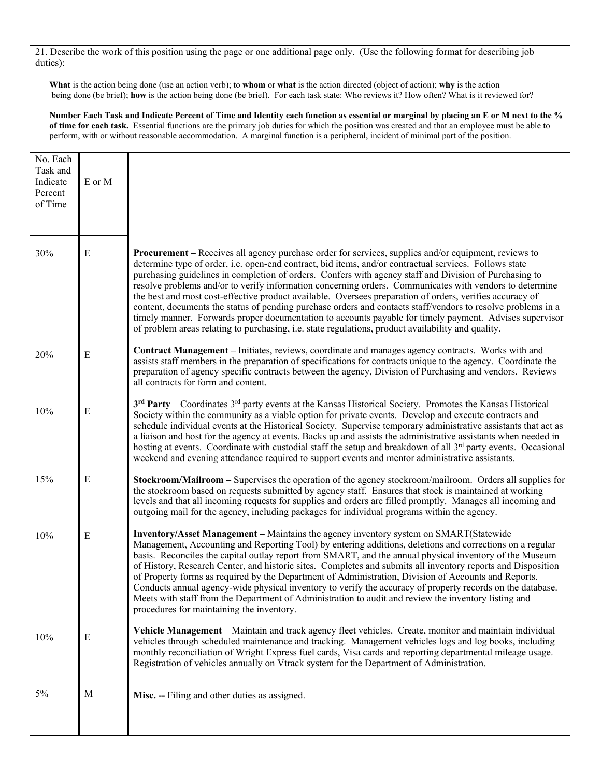21. Describe the work of this position using the page or one additional page only. (Use the following format for describing job duties):

**What** is the action being done (use an action verb); to **whom** or **what** is the action directed (object of action); **why** is the action being done (be brief); **how** is the action being done (be brief). For each task state: Who reviews it? How often? What is it reviewed for?

**Number Each Task and Indicate Percent of Time and Identity each function as essential or marginal by placing an E or M next to the % of time for each task.** Essential functions are the primary job duties for which the position was created and that an employee must be able to perform, with or without reasonable accommodation. A marginal function is a peripheral, incident of minimal part of the position.

| No. Each<br>Task and<br>Indicate<br>Percent<br>of Time | E or M      |                                                                                                                                                                                                                                                                                                                                                                                                                                                                                                                                                                                                                                                                                                                                                                                                                                                                                         |
|--------------------------------------------------------|-------------|-----------------------------------------------------------------------------------------------------------------------------------------------------------------------------------------------------------------------------------------------------------------------------------------------------------------------------------------------------------------------------------------------------------------------------------------------------------------------------------------------------------------------------------------------------------------------------------------------------------------------------------------------------------------------------------------------------------------------------------------------------------------------------------------------------------------------------------------------------------------------------------------|
| 30%                                                    | $\mathbf E$ | <b>Procurement</b> – Receives all agency purchase order for services, supplies and/or equipment, reviews to<br>determine type of order, i.e. open-end contract, bid items, and/or contractual services. Follows state<br>purchasing guidelines in completion of orders. Confers with agency staff and Division of Purchasing to<br>resolve problems and/or to verify information concerning orders. Communicates with vendors to determine<br>the best and most cost-effective product available. Oversees preparation of orders, verifies accuracy of<br>content, documents the status of pending purchase orders and contacts staff/vendors to resolve problems in a<br>timely manner. Forwards proper documentation to accounts payable for timely payment. Advises supervisor<br>of problem areas relating to purchasing, i.e. state regulations, product availability and quality. |
| 20%                                                    | $\mathbf E$ | Contract Management - Initiates, reviews, coordinate and manages agency contracts. Works with and<br>assists staff members in the preparation of specifications for contracts unique to the agency. Coordinate the<br>preparation of agency specific contracts between the agency, Division of Purchasing and vendors. Reviews<br>all contracts for form and content.                                                                                                                                                                                                                                                                                                                                                                                                                                                                                                                   |
| 10%                                                    | E           | $3^{rd}$ Party – Coordinates $3^{rd}$ party events at the Kansas Historical Society. Promotes the Kansas Historical<br>Society within the community as a viable option for private events. Develop and execute contracts and<br>schedule individual events at the Historical Society. Supervise temporary administrative assistants that act as<br>a liaison and host for the agency at events. Backs up and assists the administrative assistants when needed in<br>hosting at events. Coordinate with custodial staff the setup and breakdown of all 3 <sup>rd</sup> party events. Occasional<br>weekend and evening attendance required to support events and mentor administrative assistants.                                                                                                                                                                                      |
| 15%                                                    | ${\bf E}$   | Stockroom/Mailroom - Supervises the operation of the agency stockroom/mailroom. Orders all supplies for<br>the stockroom based on requests submitted by agency staff. Ensures that stock is maintained at working<br>levels and that all incoming requests for supplies and orders are filled promptly. Manages all incoming and<br>outgoing mail for the agency, including packages for individual programs within the agency.                                                                                                                                                                                                                                                                                                                                                                                                                                                         |
| 10%                                                    | ${\bf E}$   | <b>Inventory/Asset Management – Maintains the agency inventory system on SMART(Statewide</b><br>Management, Accounting and Reporting Tool) by entering additions, deletions and corrections on a regular<br>basis. Reconciles the capital outlay report from SMART, and the annual physical inventory of the Museum<br>of History, Research Center, and historic sites. Completes and submits all inventory reports and Disposition<br>of Property forms as required by the Department of Administration, Division of Accounts and Reports.<br>Conducts annual agency-wide physical inventory to verify the accuracy of property records on the database.<br>Meets with staff from the Department of Administration to audit and review the inventory listing and<br>procedures for maintaining the inventory.                                                                          |
| 10%                                                    | E           | Vehicle Management – Maintain and track agency fleet vehicles. Create, monitor and maintain individual<br>vehicles through scheduled maintenance and tracking. Management vehicles logs and log books, including<br>monthly reconciliation of Wright Express fuel cards, Visa cards and reporting departmental mileage usage.<br>Registration of vehicles annually on Vtrack system for the Department of Administration.                                                                                                                                                                                                                                                                                                                                                                                                                                                               |
| 5%                                                     | M           | Misc. -- Filing and other duties as assigned.                                                                                                                                                                                                                                                                                                                                                                                                                                                                                                                                                                                                                                                                                                                                                                                                                                           |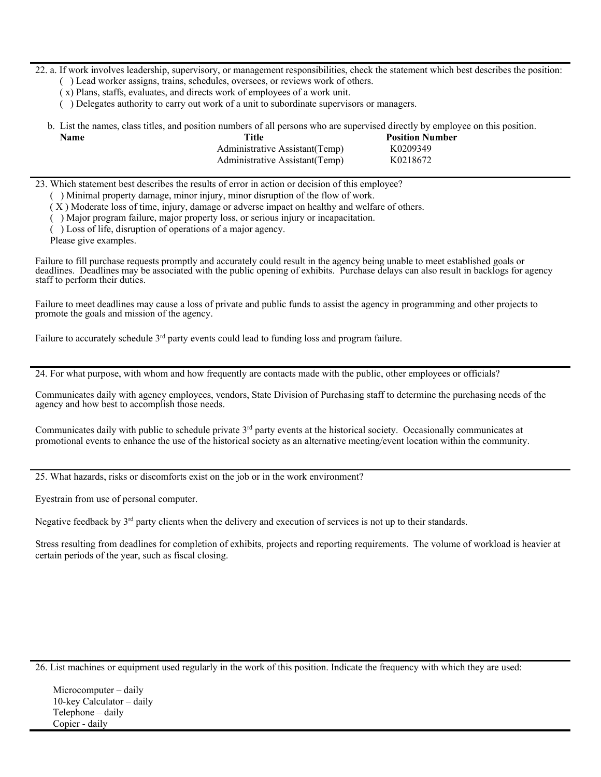22. a. If work involves leadership, supervisory, or management responsibilities, check the statement which best describes the position:

- ( ) Lead worker assigns, trains, schedules, oversees, or reviews work of others.
- ( x) Plans, staffs, evaluates, and directs work of employees of a work unit.
- ( ) Delegates authority to carry out work of a unit to subordinate supervisors or managers.

|      | b. List the names, class titles, and position numbers of all persons who are supervised directly by employee on this position. |                        |  |
|------|--------------------------------------------------------------------------------------------------------------------------------|------------------------|--|
| Name | Title                                                                                                                          | <b>Position Number</b> |  |
|      | Administrative Assistant (Temp)                                                                                                | K0209349               |  |
|      | Administrative Assistant (Temp)                                                                                                | K0218672               |  |

23. Which statement best describes the results of error in action or decision of this employee?

( ) Minimal property damage, minor injury, minor disruption of the flow of work.

( X ) Moderate loss of time, injury, damage or adverse impact on healthy and welfare of others.

( ) Major program failure, major property loss, or serious injury or incapacitation.

( ) Loss of life, disruption of operations of a major agency.

Please give examples.

Failure to fill purchase requests promptly and accurately could result in the agency being unable to meet established goals or deadlines. Deadlines may be associated with the public opening of exhibits. Purchase delays can also result in backlogs for agency staff to perform their duties.

Failure to meet deadlines may cause a loss of private and public funds to assist the agency in programming and other projects to promote the goals and mission of the agency.

Failure to accurately schedule 3<sup>rd</sup> party events could lead to funding loss and program failure.

24. For what purpose, with whom and how frequently are contacts made with the public, other employees or officials?

Communicates daily with agency employees, vendors, State Division of Purchasing staff to determine the purchasing needs of the agency and how best to accomplish those needs.

Communicates daily with public to schedule private 3rd party events at the historical society. Occasionally communicates at promotional events to enhance the use of the historical society as an alternative meeting/event location within the community.

25. What hazards, risks or discomforts exist on the job or in the work environment?

Eyestrain from use of personal computer.

Negative feedback by  $3<sup>rd</sup>$  party clients when the delivery and execution of services is not up to their standards.

Stress resulting from deadlines for completion of exhibits, projects and reporting requirements. The volume of workload is heavier at certain periods of the year, such as fiscal closing.

26. List machines or equipment used regularly in the work of this position. Indicate the frequency with which they are used:

Microcomputer – daily 10-key Calculator – daily Telephone – daily Copier - daily